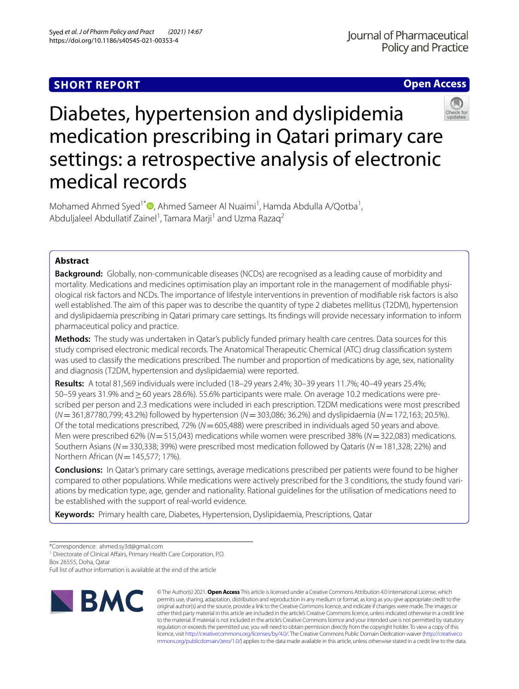# **SHORT REPORT**

**Open Access**



# Diabetes, hypertension and dyslipidemia medication prescribing in Qatari primary care settings: a retrospective analysis of electronic medical records

Mohamed Ahmed Syed<sup>1\*</sup><sup>®</sup>[,](http://orcid.org/0000-0002-2396-3534) Ahmed Sameer Al Nuaimi<sup>1</sup>, Hamda Abdulla A/Qotba<sup>1</sup>, Abduljaleel Abdullatif Zainel<sup>1</sup>, Tamara Marji<sup>1</sup> and Uzma Razaq<sup>2</sup>

## **Abstract**

**Background:** Globally, non-communicable diseases (NCDs) are recognised as a leading cause of morbidity and mortality. Medications and medicines optimisation play an important role in the management of modifable physiological risk factors and NCDs. The importance of lifestyle interventions in prevention of modifable risk factors is also well established. The aim of this paper was to describe the quantity of type 2 diabetes mellitus (T2DM), hypertension and dyslipidaemia prescribing in Qatari primary care settings. Its fndings will provide necessary information to inform pharmaceutical policy and practice.

**Methods:** The study was undertaken in Qatar's publicly funded primary health care centres. Data sources for this study comprised electronic medical records. The Anatomical Therapeutic Chemical (ATC) drug classifcation system was used to classify the medications prescribed. The number and proportion of medications by age, sex, nationality and diagnosis (T2DM, hypertension and dyslipidaemia) were reported.

**Results:** A total 81,569 individuals were included (18–29 years 2.4%; 30–39 years 11.7%; 40–49 years 25.4%; 50–59 years 31.9% and≥60 years 28.6%). 55.6% participants were male. On average 10.2 medications were prescribed per person and 2.3 medications were included in each prescription. T2DM medications were most prescribed (*N*=361,87780,799; 43.2%) followed by hypertension (*N*=303,086; 36.2%) and dyslipidaemia (*N*=172,163; 20.5%). Of the total medications prescribed, 72% (*N*=605,488) were prescribed in individuals aged 50 years and above. Men were prescribed 62% (*N*=515,043) medications while women were prescribed 38% (*N*=322,083) medications. Southern Asians (*N*=330,338; 39%) were prescribed most medication followed by Qataris (*N*=181,328; 22%) and Northern African (*N*=145,577; 17%).

**Conclusions:** In Qatar's primary care settings, average medications prescribed per patients were found to be higher compared to other populations. While medications were actively prescribed for the 3 conditions, the study found variations by medication type, age, gender and nationality. Rational guidelines for the utilisation of medications need to be established with the support of real-world evidence.

**Keywords:** Primary health care, Diabetes, Hypertension, Dyslipidaemia, Prescriptions, Qatar

<sup>1</sup> Directorate of Clinical Affairs, Primary Health Care Corporation, P.O.

Box 26555, Doha, Qatar

Full list of author information is available at the end of the article



© The Author(s) 2021. **Open Access** This article is licensed under a Creative Commons Attribution 4.0 International License, which permits use, sharing, adaptation, distribution and reproduction in any medium or format, as long as you give appropriate credit to the original author(s) and the source, provide a link to the Creative Commons licence, and indicate if changes were made. The images or other third party material in this article are included in the article's Creative Commons licence, unless indicated otherwise in a credit line to the material. If material is not included in the article's Creative Commons licence and your intended use is not permitted by statutory regulation or exceeds the permitted use, you will need to obtain permission directly from the copyright holder. To view a copy of this licence, visit [http://creativecommons.org/licenses/by/4.0/.](http://creativecommons.org/licenses/by/4.0/) The Creative Commons Public Domain Dedication waiver ([http://creativeco](http://creativecommons.org/publicdomain/zero/1.0/) [mmons.org/publicdomain/zero/1.0/](http://creativecommons.org/publicdomain/zero/1.0/)) applies to the data made available in this article, unless otherwise stated in a credit line to the data.

<sup>\*</sup>Correspondence: ahmed.sy3d@gmail.com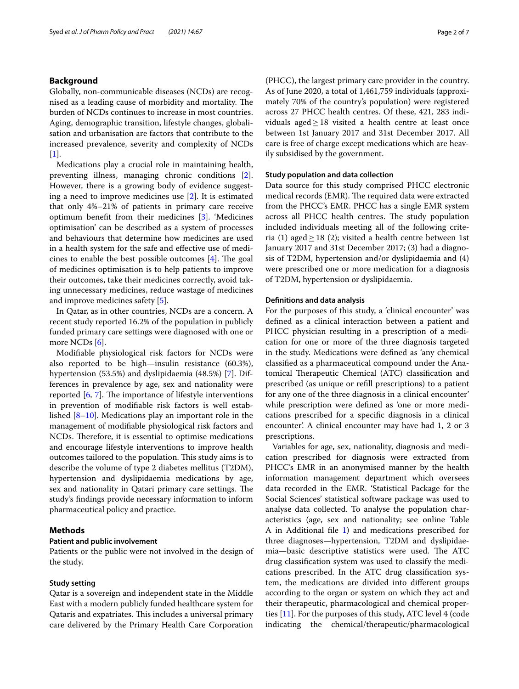### **Background**

Globally, non-communicable diseases (NCDs) are recognised as a leading cause of morbidity and mortality. The burden of NCDs continues to increase in most countries. Aging, demographic transition, lifestyle changes, globalisation and urbanisation are factors that contribute to the increased prevalence, severity and complexity of NCDs [[1\]](#page-5-0).

Medications play a crucial role in maintaining health, preventing illness, managing chronic conditions [\[2](#page-5-1)]. However, there is a growing body of evidence suggesting a need to improve medicines use [[2\]](#page-5-1). It is estimated that only 4%–21% of patients in primary care receive optimum beneft from their medicines [[3\]](#page-5-2). 'Medicines optimisation' can be described as a system of processes and behaviours that determine how medicines are used in a health system for the safe and efective use of medicines to enable the best possible outcomes  $[4]$  $[4]$ . The goal of medicines optimisation is to help patients to improve their outcomes, take their medicines correctly, avoid taking unnecessary medicines, reduce wastage of medicines and improve medicines safety [\[5](#page-5-4)].

In Qatar, as in other countries, NCDs are a concern. A recent study reported 16.2% of the population in publicly funded primary care settings were diagnosed with one or more NCDs [[6\]](#page-5-5).

Modifable physiological risk factors for NCDs were also reported to be high—insulin resistance (60.3%), hypertension (53.5%) and dyslipidaemia (48.5%) [[7\]](#page-5-6). Differences in prevalence by age, sex and nationality were reported  $[6, 7]$  $[6, 7]$  $[6, 7]$  $[6, 7]$ . The importance of lifestyle interventions in prevention of modifable risk factors is well established [\[8](#page-6-0)[–10\]](#page-6-1). Medications play an important role in the management of modifable physiological risk factors and NCDs. Therefore, it is essential to optimise medications and encourage lifestyle interventions to improve health outcomes tailored to the population. This study aims is to describe the volume of type 2 diabetes mellitus (T2DM), hypertension and dyslipidaemia medications by age, sex and nationality in Qatari primary care settings. The study's fndings provide necessary information to inform pharmaceutical policy and practice.

### **Methods**

### **Patient and public involvement**

Patients or the public were not involved in the design of the study.

### **Study setting**

Qatar is a sovereign and independent state in the Middle East with a modern publicly funded healthcare system for Qataris and expatriates. This includes a universal primary care delivered by the Primary Health Care Corporation (PHCC), the largest primary care provider in the country. As of June 2020, a total of 1,461,759 individuals (approximately 70% of the country's population) were registered across 27 PHCC health centres. Of these, 421, 283 individuals aged $\geq$ 18 visited a health centre at least once between 1st January 2017 and 31st December 2017. All care is free of charge except medications which are heavily subsidised by the government.

### **Study population and data collection**

Data source for this study comprised PHCC electronic medical records (EMR). The required data were extracted from the PHCC's EMR. PHCC has a single EMR system across all PHCC health centres. The study population included individuals meeting all of the following criteria (1) aged  $\geq$  18 (2); visited a health centre between 1st January 2017 and 31st December 2017; (3) had a diagnosis of T2DM, hypertension and/or dyslipidaemia and (4) were prescribed one or more medication for a diagnosis of T2DM, hypertension or dyslipidaemia.

### **Defnitions and data analysis**

For the purposes of this study, a 'clinical encounter' was defned as a clinical interaction between a patient and PHCC physician resulting in a prescription of a medication for one or more of the three diagnosis targeted in the study. Medications were defned as 'any chemical classifed as a pharmaceutical compound under the Anatomical Therapeutic Chemical (ATC) classification and prescribed (as unique or refll prescriptions) to a patient for any one of the three diagnosis in a clinical encounter' while prescription were defned as 'one or more medications prescribed for a specifc diagnosis in a clinical encounter'. A clinical encounter may have had 1, 2 or 3 prescriptions.

Variables for age, sex, nationality, diagnosis and medication prescribed for diagnosis were extracted from PHCC's EMR in an anonymised manner by the health information management department which oversees data recorded in the EMR. 'Statistical Package for the Social Sciences' statistical software package was used to analyse data collected. To analyse the population characteristics (age, sex and nationality; see online Table A in Additional fle [1\)](#page-5-7) and medications prescribed for three diagnoses—hypertension, T2DM and dyslipidaemia-basic descriptive statistics were used. The ATC drug classifcation system was used to classify the medications prescribed. In the ATC drug classifcation system, the medications are divided into diferent groups according to the organ or system on which they act and their therapeutic, pharmacological and chemical properties [\[11](#page-6-2)]. For the purposes of this study, ATC level 4 (code indicating the chemical/therapeutic/pharmacological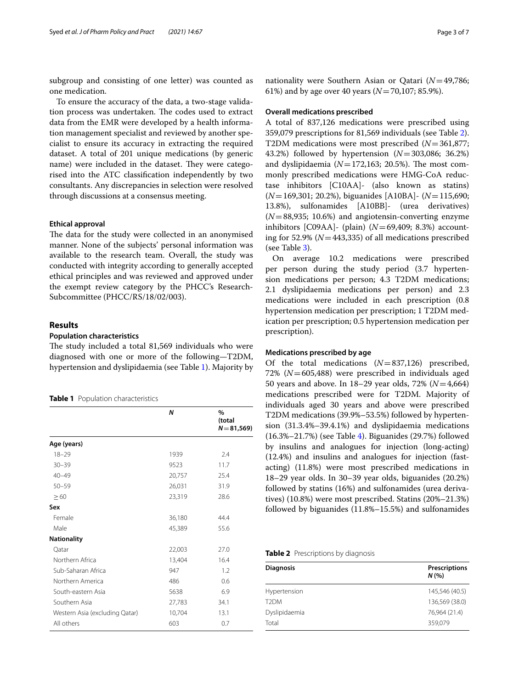subgroup and consisting of one letter) was counted as one medication.

To ensure the accuracy of the data, a two-stage validation process was undertaken. The codes used to extract data from the EMR were developed by a health information management specialist and reviewed by another specialist to ensure its accuracy in extracting the required dataset. A total of 201 unique medications (by generic name) were included in the dataset. They were categorised into the ATC classifcation independently by two consultants. Any discrepancies in selection were resolved through discussions at a consensus meeting.

### **Ethical approval**

The data for the study were collected in an anonymised manner. None of the subjects' personal information was available to the research team. Overall, the study was conducted with integrity according to generally accepted ethical principles and was reviewed and approved under the exempt review category by the PHCC's Research-Subcommittee (PHCC/RS/18/02/003).

### **Results**

### **Population characteristics**

The study included a total 81,569 individuals who were diagnosed with one or more of the following—T2DM, hypertension and dyslipidaemia (see Table [1\)](#page-2-0). Majority by

<span id="page-2-0"></span>

| Table 1 Population characteristics |  |
|------------------------------------|--|
|------------------------------------|--|

|                                | N      | $\frac{0}{0}$<br>(total<br>$N = 81,569$ |
|--------------------------------|--------|-----------------------------------------|
| Age (years)                    |        |                                         |
| $18 - 29$                      | 1939   | 2.4                                     |
| $30 - 39$                      | 9523   | 11.7                                    |
| $40 - 49$                      | 20,757 | 25.4                                    |
| $50 - 59$                      | 26,031 | 31.9                                    |
| $\geq 60$                      | 23,319 | 28.6                                    |
| Sex                            |        |                                         |
| Female                         | 36,180 | 44.4                                    |
| Male                           | 45,389 | 55.6                                    |
| <b>Nationality</b>             |        |                                         |
| Qatar                          | 22,003 | 27.0                                    |
| Northern Africa                | 13,404 | 16.4                                    |
| Sub-Saharan Africa             | 947    | 1.2                                     |
| Northern America               | 486    | 0.6                                     |
| South-eastern Asia             | 5638   | 6.9                                     |
| Southern Asia                  | 27,783 | 34.1                                    |
| Western Asia (excluding Qatar) | 10,704 | 13.1                                    |
| All others                     | 603    | 0.7                                     |

nationality were Southern Asian or Qatari (*N*=49,786; 61%) and by age over 40 years (*N*=70,107; 85.9%).

### **Overall medications prescribed**

A total of 837,126 medications were prescribed using 359,079 prescriptions for 81,569 individuals (see Table [2](#page-2-1)). T2DM medications were most prescribed (*N*=361,877; 43.2%) followed by hypertension (*N*=303,086; 36.2%) and dyslipidaemia  $(N=172,163; 20.5\%)$ . The most commonly prescribed medications were HMG-CoA reductase inhibitors [C10AA]- (also known as statins) (*N*=169,301; 20.2%), biguanides [A10BA]- (*N*=115,690; 13.8%), sulfonamides [A10BB]- (urea derivatives) (*N*=88,935; 10.6%) and angiotensin-converting enzyme inhibitors [C09AA]- (plain) (*N*=69,409; 8.3%) accounting for 52.9% (*N*=443,335) of all medications prescribed (see Table [3\)](#page-3-0).

On average 10.2 medications were prescribed per person during the study period (3.7 hypertension medications per person; 4.3 T2DM medications; 2.1 dyslipidaemia medications per person) and 2.3 medications were included in each prescription (0.8 hypertension medication per prescription; 1 T2DM medication per prescription; 0.5 hypertension medication per prescription).

### **Medications prescribed by age**

Of the total medications (*N*=837,126) prescribed, 72% (*N*=605,488) were prescribed in individuals aged 50 years and above. In 18–29 year olds, 72% (*N*=4,664) medications prescribed were for T2DM. Majority of individuals aged 30 years and above were prescribed T2DM medications (39.9%–53.5%) followed by hypertension (31.3.4%–39.4.1%) and dyslipidaemia medications (16.3%–21.7%) (see Table [4](#page-3-1)). Biguanides (29.7%) followed by insulins and analogues for injection (long-acting) (12.4%) and insulins and analogues for injection (fastacting) (11.8%) were most prescribed medications in 18–29 year olds. In 30–39 year olds, biguanides (20.2%) followed by statins (16%) and sulfonamides (urea derivatives) (10.8%) were most prescribed. Statins (20%–21.3%) followed by biguanides (11.8%–15.5%) and sulfonamides

<span id="page-2-1"></span>

|  | Table 2 Prescriptions by diagnosis |  |  |  |
|--|------------------------------------|--|--|--|
|--|------------------------------------|--|--|--|

| <b>Diagnosis</b>  | <b>Prescriptions</b><br>N(% |
|-------------------|-----------------------------|
| Hypertension      | 145,546 (40.5)              |
| T <sub>2</sub> DM | 136,569 (38.0)              |
| Dyslipidaemia     | 76,964 (21.4)               |
| Total             | 359,079                     |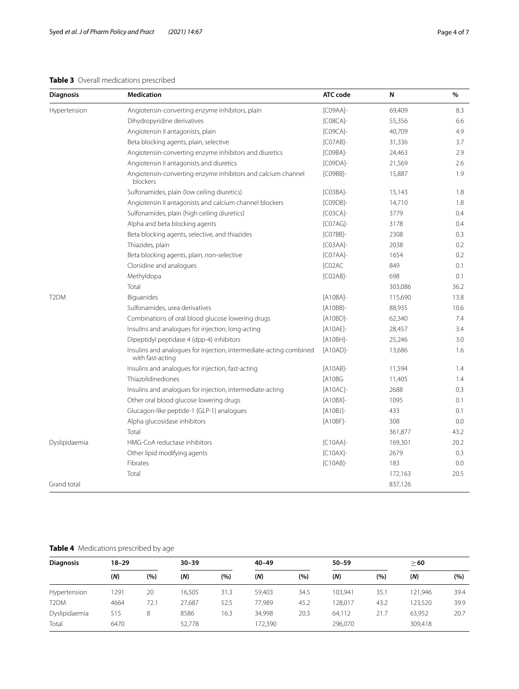### <span id="page-3-0"></span>**Table 3** Overall medications prescribed

| <b>Diagnosis</b>  | Medication                                                                             | <b>ATC</b> code | N       | %    |
|-------------------|----------------------------------------------------------------------------------------|-----------------|---------|------|
| Hypertension      | Angiotensin-converting enzyme inhibitors, plain                                        | $[CO9AA]$ -     | 69,409  | 8.3  |
|                   | Dihydropyridine derivatives                                                            | $[CO8CA]$ -     | 55,356  | 6.6  |
|                   | Angiotensin II antagonists, plain                                                      | $[CO9CA]$ -     | 40,709  | 4.9  |
|                   | Beta blocking agents, plain, selective                                                 | $[CO7AB]$ -     | 31,336  | 3.7  |
|                   | Angiotensin-converting enzyme inhibitors and diuretics                                 | [C09BA]-        | 24,463  | 2.9  |
|                   | Angiotensin II antagonists and diuretics                                               | [C09DA]-        | 21,569  | 2.6  |
|                   | Angiotensin-converting enzyme inhibitors and calcium channel<br>blockers               | [C09BB]-        | 15,887  | 1.9  |
|                   | Sulfonamides, plain (low ceiling diuretics)                                            | $[CO3BA]$ -     | 15,143  | 1.8  |
|                   | Angiotensin II antagonists and calcium channel blockers                                | [C09DB]-        | 14,710  | 1.8  |
|                   | Sulfonamides, plain (high ceiling diuretics)                                           | $[CO3CA]$ -     | 3779    | 0.4  |
|                   | Alpha and beta blocking agents                                                         | $[CO7AG]$ -     | 3178    | 0.4  |
|                   | Beta blocking agents, selective, and thiazides                                         | [C07BB]-        | 2308    | 0.3  |
|                   | Thiazides, plain                                                                       | $[CO3AA]$ -     | 2038    | 0.2  |
|                   | Beta blocking agents, plain, non-selective                                             | $[CO7AA]$ -     | 1654    | 0.2  |
|                   | Clonidine and analogues                                                                | [C02AC          | 849     | 0.1  |
|                   | Methyldopa                                                                             | $[CO2AB]$ -     | 698     | 0.1  |
|                   | Total                                                                                  |                 | 303,086 | 36.2 |
| T <sub>2</sub> DM | Biguanides                                                                             | [A10BA]-        | 115,690 | 13.8 |
|                   | Sulfonamides, urea derivatives                                                         | [A10BB]-        | 88,935  | 10.6 |
|                   | Combinations of oral blood glucose lowering drugs                                      | [A10BD]-        | 62,340  | 7.4  |
|                   | Insulins and analogues for injection, long-acting                                      | [A10AE]-        | 28,457  | 3.4  |
|                   | Dipeptidyl peptidase 4 (dpp-4) inhibitors                                              | $[A10BH]$ -     | 25,246  | 3.0  |
|                   | Insulins and analogues for injection, intermediate-acting combined<br>with fast-acting | [A10AD]-        | 13,686  | 1.6  |
|                   | Insulins and analogues for injection, fast-acting                                      | $[A10AB]$ -     | 11,594  | 1.4  |
|                   | Thiazolidinediones                                                                     | <b>TA10BG</b>   | 11,405  | 1.4  |
|                   | Insulins and analogues for injection, intermediate-acting                              | [A10AC]-        | 2688    | 0.3  |
|                   | Other oral blood glucose lowering drugs                                                | $[A10BX]$ -     | 1095    | 0.1  |
|                   | Glucagon-like peptide-1 (GLP-1) analogues                                              | $[A10B$ J]-     | 433     | 0.1  |
|                   | Alpha glucosidase inhibitors                                                           | [A10BF]-        | 308     | 0.0  |
|                   | Total                                                                                  |                 | 361,877 | 43.2 |
| Dyslipidaemia     | HMG-CoA reductase inhibitors                                                           | $[C10AA]$ -     | 169,301 | 20.2 |
|                   | Other lipid modifying agents                                                           | $[C10AX]$ -     | 2679    | 0.3  |
|                   | Fibrates                                                                               | $[C10AB]$ -     | 183     | 0.0  |
|                   | Total                                                                                  |                 | 172,163 | 20.5 |
| Grand total       |                                                                                        |                 | 837,126 |      |

# <span id="page-3-1"></span>**Table 4** Medications prescribed by age

| <b>Diagnosis</b>  | $18 - 29$ |      | $30 - 39$ |      | $40 - 49$ |      | $50 - 59$ |      | >60     |      |
|-------------------|-----------|------|-----------|------|-----------|------|-----------|------|---------|------|
|                   | (M)       | (%)  | (N)       | (%)  | (N)       | (%)  | (N)       | (%)  | (N)     | (%)  |
| Hypertension      | 1291      | 20   | 16.505    | 31.3 | 59.403    | 34.5 | 103.941   | 35.1 | 121.946 | 39.4 |
| T <sub>2</sub> DM | 4664      | 72.1 | 27,687    | 52.5 | 77,989    | 45.2 | 128,017   | 43.2 | 123,520 | 39.9 |
| Dyslipidaemia     | 515       | 8    | 8586      | 16.3 | 34,998    | 20.3 | 64,112    | 21.7 | 63,952  | 20.7 |
| Total             | 6470      |      | 52,778    |      | 172,390   |      | 296,070   |      | 309,418 |      |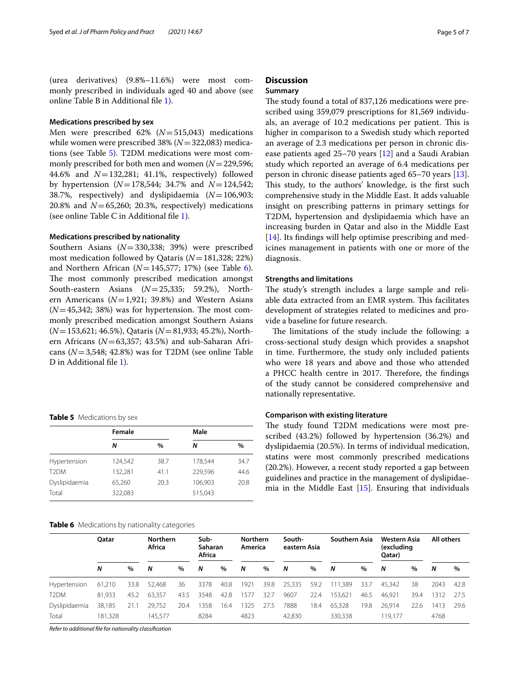(urea derivatives) (9.8%–11.6%) were most commonly prescribed in individuals aged 40 and above (see online Table B in Additional fle [1](#page-5-7)).

### **Medications prescribed by sex**

Men were prescribed 62% (*N*=515,043) medications while women were prescribed 38% (*N*=322,083) medications (see Table [5\)](#page-4-0). T2DM medications were most commonly prescribed for both men and women (*N*=229,596; 44.6% and *N*=132,281; 41.1%, respectively) followed by hypertension (*N*=178,544; 34.7% and *N*=124,542; 38.7%, respectively) and dyslipidaemia (*N*=106,903; 20.8% and  $N=65,260; 20.3%$ , respectively) medications (see online Table C in Additional fle [1](#page-5-7)).

### **Medications prescribed by nationality**

Southern Asians (*N*=330,338; 39%) were prescribed most medication followed by Qataris (*N*=181,328; 22%) and Northern African  $(N=145,577; 17%)$  (see Table [6](#page-4-1)). The most commonly prescribed medication amongst South-eastern Asians (*N*=25,335; 59.2%), Northern Americans (*N*=1,921; 39.8%) and Western Asians  $(N=45,342; 38%)$  was for hypertension. The most commonly prescribed medication amongst Southern Asians (*N*=153,621; 46.5%), Qataris (*N*=81,933; 45.2%), Northern Africans ( $N=63,357$ ; 43.5%) and sub-Saharan Africans (*N*=3,548; 42.8%) was for T2DM (see online Table D in Additional file [1](#page-5-7)).

### <span id="page-4-0"></span>**Table 5** Medications by sex

|                   | Female  |               | Male    |      |
|-------------------|---------|---------------|---------|------|
|                   | Ν       | $\frac{0}{0}$ | Ν       | $\%$ |
| Hypertension      | 124,542 | 38.7          | 178.544 | 34.7 |
| T <sub>2</sub> DM | 132,281 | 41.1          | 229,596 | 44.6 |
| Dyslipidaemia     | 65.260  | 20.3          | 106.903 | 20.8 |
| Total             | 322,083 |               | 515,043 |      |

### <span id="page-4-1"></span>**Table 6** Medications by nationality categories

# **Discussion**

### **Summary**

The study found a total of 837,126 medications were prescribed using 359,079 prescriptions for 81,569 individuals, an average of 10.2 medications per patient. This is higher in comparison to a Swedish study which reported an average of 2.3 medications per person in chronic disease patients aged 25–70 years [\[12](#page-6-3)] and a Saudi Arabian study which reported an average of 6.4 medications per person in chronic disease patients aged 65–70 years [\[13](#page-6-4)]. This study, to the authors' knowledge, is the first such comprehensive study in the Middle East. It adds valuable insight on prescribing patterns in primary settings for T2DM, hypertension and dyslipidaemia which have an increasing burden in Qatar and also in the Middle East [[14\]](#page-6-5). Its findings will help optimise prescribing and medicines management in patients with one or more of the diagnosis.

### **Strengths and limitations**

The study's strength includes a large sample and reliable data extracted from an EMR system. This facilitates development of strategies related to medicines and provide a baseline for future research.

The limitations of the study include the following: a cross-sectional study design which provides a snapshot in time. Furthermore, the study only included patients who were 18 years and above and those who attended a PHCC health centre in 2017. Therefore, the findings of the study cannot be considered comprehensive and nationally representative.

### **Comparison with existing literature**

The study found T2DM medications were most prescribed (43.2%) followed by hypertension (36.2%) and dyslipidaemia (20.5%). In terms of individual medication, statins were most commonly prescribed medications (20.2%). However, a recent study reported a gap between guidelines and practice in the management of dyslipidaemia in the Middle East [[15](#page-6-6)]. Ensuring that individuals

|                   | Oatar   |      |         |      | <b>Northern</b><br>Africa |      | Sub-<br>Saharan<br>Africa |      | <b>Northern</b><br>America |      | South-<br>eastern Asia |      | Southern Asia |      | Western Asia<br>(excluding<br>Qatar) |      | All others |  |
|-------------------|---------|------|---------|------|---------------------------|------|---------------------------|------|----------------------------|------|------------------------|------|---------------|------|--------------------------------------|------|------------|--|
|                   | N       | $\%$ | N       | $\%$ | N                         | $\%$ | N                         | $\%$ | N                          | %    | N                      | %    | N             | $\%$ | N                                    | $\%$ |            |  |
| Hypertension      | 61.210  | 33.8 | 52,468  | 36   | 3378                      | 40.8 | 1921                      | 39.8 | 25,335                     | 59.2 | 111,389                | 33.7 | 45.342        | 38   | 2043                                 | 42.8 |            |  |
| T <sub>2</sub> DM | 81.933  | 45.2 | 63,357  | 43.5 | 3548                      | 42.8 | 1577                      | 32.7 | 9607                       | 22.4 | 153,621                | 46.5 | 46,921        | 39.4 | 1312                                 | 27.5 |            |  |
| Dyslipidaemia     | 38.185  | 21.1 | 29.752  | 20.4 | 1358                      | 16.4 | 1325                      | 27.5 | 7888                       | 18.4 | 65.328                 | 19.8 | 26.914        | 22.6 | 1413                                 | 29.6 |            |  |
| Total             | 181.328 |      | 145.577 |      | 8284                      |      | 4823                      |      | 42,830                     |      | 330.338                |      | 119.177       |      | 4768                                 |      |            |  |

*Refer to additional fle for nationality classifcation*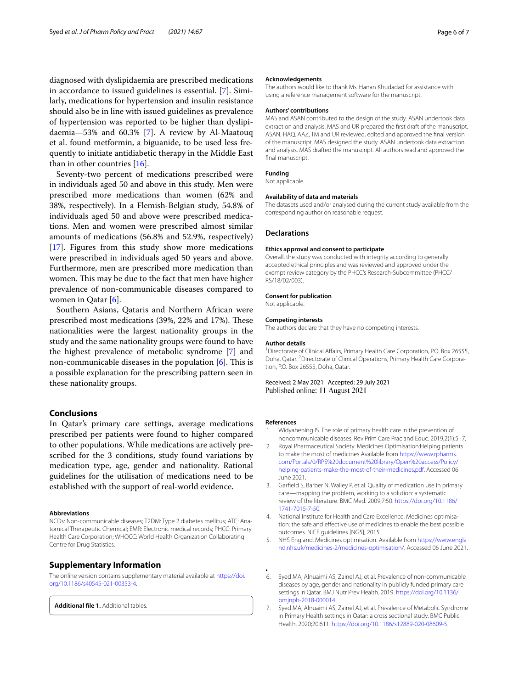diagnosed with dyslipidaemia are prescribed medications in accordance to issued guidelines is essential. [[7\]](#page-5-6). Similarly, medications for hypertension and insulin resistance should also be in line with issued guidelines as prevalence of hypertension was reported to be higher than dyslipidaemia—53% and 60.3% [\[7\]](#page-5-6). A review by Al-Maatouq et al. found metformin, a biguanide, to be used less frequently to initiate antidiabetic therapy in the Middle East than in other countries [[16\]](#page-6-7).

Seventy-two percent of medications prescribed were in individuals aged 50 and above in this study. Men were prescribed more medications than women (62% and 38%, respectively). In a Flemish-Belgian study, 54.8% of individuals aged 50 and above were prescribed medications. Men and women were prescribed almost similar amounts of medications (56.8% and 52.9%, respectively) [[17\]](#page-6-8). Figures from this study show more medications were prescribed in individuals aged 50 years and above. Furthermore, men are prescribed more medication than women. This may be due to the fact that men have higher prevalence of non-communicable diseases compared to women in Qatar [[6\]](#page-5-5).

Southern Asians, Qataris and Northern African were prescribed most medications (39%, 22% and 17%). These nationalities were the largest nationality groups in the study and the same nationality groups were found to have the highest prevalence of metabolic syndrome [[7\]](#page-5-6) and non-communicable diseases in the population  $[6]$  $[6]$ . This is a possible explanation for the prescribing pattern seen in these nationality groups.

### **Conclusions**

In Qatar's primary care settings, average medications prescribed per patients were found to higher compared to other populations. While medications are actively prescribed for the 3 conditions, study found variations by medication type, age, gender and nationality. Rational guidelines for the utilisation of medications need to be established with the support of real-world evidence.

#### **Abbreviations**

NCDs: Non-communicable diseases; T2DM: Type 2 diabetes mellitus; ATC: Anatomical Therapeutic Chemical; EMR: Electronic medical records; PHCC: Primary Health Care Corporation; WHOCC: World Health Organization Collaborating Centre for Drug Statistics.

### **Supplementary Information**

The online version contains supplementary material available at [https://doi.](https://doi.org/10.1186/s40545-021-00353-4) [org/10.1186/s40545-021-00353-4](https://doi.org/10.1186/s40545-021-00353-4).

<span id="page-5-7"></span>**Additional fle 1.** Additional tables.

### **Acknowledgements**

The authors would like to thank Ms. Hanan Khudadad for assistance with using a reference management software for the manuscript.

#### **Authors' contributions**

MAS and ASAN contributed to the design of the study. ASAN undertook data extraction and analysis. MAS and UR prepared the frst draft of the manuscript. ASAN, HAQ. AAZ, TM and UR reviewed, edited and approved the fnal version of the manuscript. MAS designed the study. ASAN undertook data extraction and analysis. MAS drafted the manuscript. All authors read and approved the final manuscript.

#### **Funding**

Not applicable.

#### **Availability of data and materials**

The datasets used and/or analysed during the current study available from the corresponding author on reasonable request.

### **Declarations**

#### **Ethics approval and consent to participate**

Overall, the study was conducted with integrity according to generally accepted ethical principles and was reviewed and approved under the exempt review category by the PHCC's Research-Subcommittee (PHCC/ RS/18/02/003).

### **Consent for publication**

Not applicable.

#### **Competing interests**

The authors declare that they have no competing interests.

#### **Author details**

<sup>1</sup> Directorate of Clinical Affairs, Primary Health Care Corporation, P.O. Box 26555, Doha, Qatar. <sup>2</sup> Directorate of Clinical Operations, Primary Health Care Corporation, P.O. Box 26555, Doha, Qatar.

Received: 2 May 2021 Accepted: 29 July 2021 Published online: 11 August 2021

#### **References**

- <span id="page-5-0"></span>Widyahening IS. The role of primary health care in the prevention of noncommunicable diseases. Rev Prim Care Prac and Educ. 2019;2(1):5–7.
- <span id="page-5-1"></span>2. Royal Pharmaceutical Society. Medicines Optimisation:Helping patients to make the most of medicines Available from [https://www.rpharms.](https://www.rpharms.com/Portals/0/RPS%20document%20library/Open%20access/Policy/helping-patients-make-the-most-of-their-medicines.pdf) [com/Portals/0/RPS%20document%20library/Open%20access/Policy/](https://www.rpharms.com/Portals/0/RPS%20document%20library/Open%20access/Policy/helping-patients-make-the-most-of-their-medicines.pdf) [helping-patients-make-the-most-of-their-medicines.pdf](https://www.rpharms.com/Portals/0/RPS%20document%20library/Open%20access/Policy/helping-patients-make-the-most-of-their-medicines.pdf). Accessed 06 June 2021.
- <span id="page-5-2"></span>3. Garfeld S, Barber N, Walley P, et al. Quality of medication use in primary care—mapping the problem, working to a solution: a systematic review of the literature. BMC Med. 2009;7:50. [https://doi.org/10.1186/](https://doi.org/10.1186/1741-7015-7-50) [1741-7015-7-50.](https://doi.org/10.1186/1741-7015-7-50)
- <span id="page-5-3"></span>4. National Institute for Health and Care Excellence. Medicines optimisation: the safe and efective use of medicines to enable the best possible outcomes. NICE guidelines [NG5], 2015.
- <span id="page-5-4"></span>5. NHS England. Medicines optimisation. Available from [https://www.engla](https://www.england.nhs.uk/medicines-2/medicines-optimisation/) [nd.nhs.uk/medicines-2/medicines-optimisation/.](https://www.england.nhs.uk/medicines-2/medicines-optimisation/) Accessed 06 June 2021.
- <span id="page-5-5"></span>**.** 6. Syed MA, Alnuaimi AS, Zainel AJ, et al. Prevalence of non-communicable diseases by age, gender and nationality in publicly funded primary care settings in Qatar. BMJ Nutr Prev Health. 2019. [https://doi.org/10.1136/](https://doi.org/10.1136/bmjnph-2018-000014) [bmjnph-2018-000014.](https://doi.org/10.1136/bmjnph-2018-000014)
- <span id="page-5-6"></span>7. Syed MA, Alnuaimi AS, Zainel AJ, et al. Prevalence of Metabolic Syndrome in Primary Health settings in Qatar: a cross sectional study. BMC Public Health. 2020;20:611. <https://doi.org/10.1186/s12889-020-08609-5>.